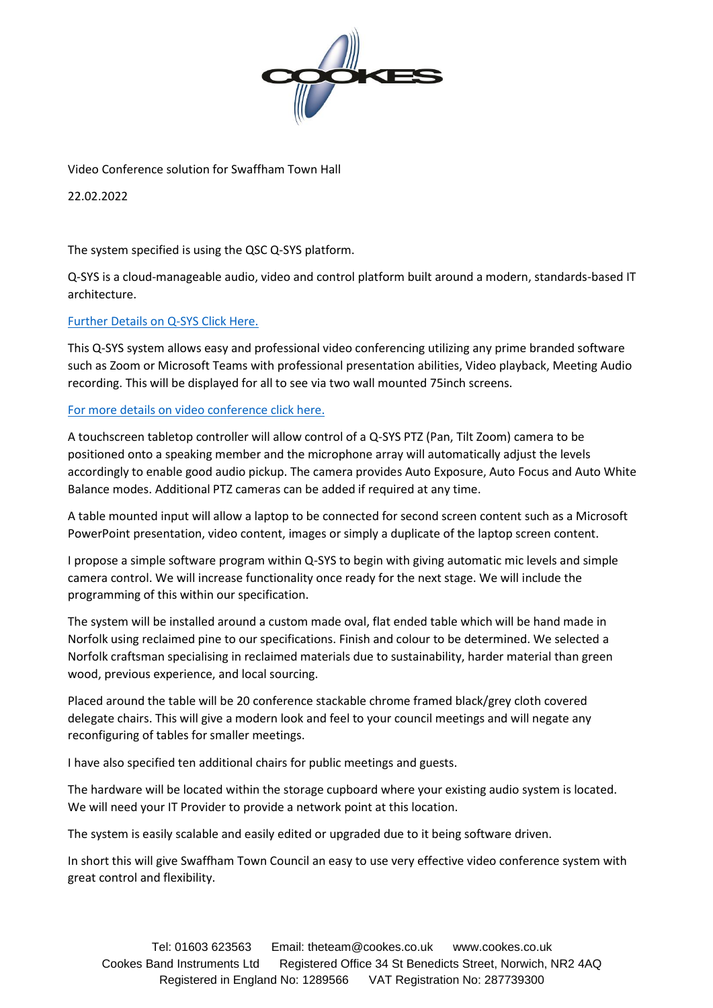

Video Conference solution for Swaffham Town Hall

22.02.2022

The system specified is using the QSC Q-SYS platform.

Q-SYS is a cloud-manageable audio, video and control platform built around a modern, standards-based IT architecture.

## [Further Details on Q-SYS Click Here.](https://www.qsc.com/products-solutions/q-sys/)

This Q-SYS system allows easy and professional video conferencing utilizing any prime branded software such as Zoom or Microsoft Teams with professional presentation abilities, Video playback, Meeting Audio recording. This will be displayed for all to see via two wall mounted 75inch screens.

## [For more details on video conference click here.](https://www.qsc.com/alliances-partnerships/)

A touchscreen tabletop controller will allow control of a Q-SYS PTZ (Pan, Tilt Zoom) camera to be positioned onto a speaking member and the microphone array will automatically adjust the levels accordingly to enable good audio pickup. The camera provides Auto Exposure, Auto Focus and Auto White Balance modes. Additional PTZ cameras can be added if required at any time.

A table mounted input will allow a laptop to be connected for second screen content such as a Microsoft PowerPoint presentation, video content, images or simply a duplicate of the laptop screen content.

I propose a simple software program within Q-SYS to begin with giving automatic mic levels and simple camera control. We will increase functionality once ready for the next stage. We will include the programming of this within our specification.

The system will be installed around a custom made oval, flat ended table which will be hand made in Norfolk using reclaimed pine to our specifications. Finish and colour to be determined. We selected a Norfolk craftsman specialising in reclaimed materials due to sustainability, harder material than green wood, previous experience, and local sourcing.

Placed around the table will be 20 conference stackable chrome framed black/grey cloth covered delegate chairs. This will give a modern look and feel to your council meetings and will negate any reconfiguring of tables for smaller meetings.

I have also specified ten additional chairs for public meetings and guests.

The hardware will be located within the storage cupboard where your existing audio system is located. We will need your IT Provider to provide a network point at this location.

The system is easily scalable and easily edited or upgraded due to it being software driven.

In short this will give Swaffham Town Council an easy to use very effective video conference system with great control and flexibility.